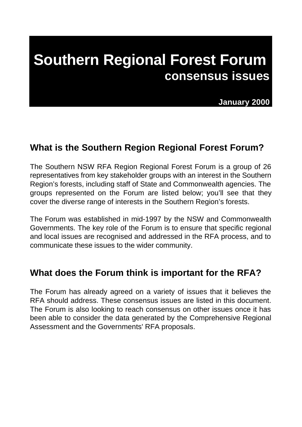# **Southern Regional Forest Forum consensus issues**

 **January 2000**

### **What is the Southern Region Regional Forest Forum?**

The Southern NSW RFA Region Regional Forest Forum is a group of 26 representatives from key stakeholder groups with an interest in the Southern Region's forests, including staff of State and Commonwealth agencies. The groups represented on the Forum are listed below; you'll see that they cover the diverse range of interests in the Southern Region's forests.

The Forum was established in mid-1997 by the NSW and Commonwealth Governments. The key role of the Forum is to ensure that specific regional and local issues are recognised and addressed in the RFA process, and to communicate these issues to the wider community.

### **What does the Forum think is important for the RFA?**

The Forum has already agreed on a variety of issues that it believes the RFA should address. These consensus issues are listed in this document. The Forum is also looking to reach consensus on other issues once it has been able to consider the data generated by the Comprehensive Regional Assessment and the Governments' RFA proposals.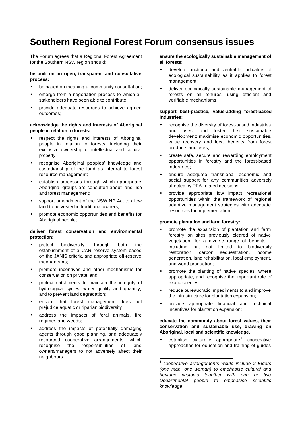### **Southern Regional Forest Forum consensus issues**

The Forum agrees that a Regional Forest Agreement for the Southern NSW region should:

#### **be built on an open, transparent and consultative process:**

- be based on meaningful community consultation;
- emerge from a negotiation process to which all stakeholders have been able to contribute;
- provide adequate resources to achieve agreed outcomes;

#### **acknowledge the rights and interests of Aboriginal people in relation to forests:**

- respect the rights and interests of Aboriginal people in relation to forests, including their exclusive ownership of intellectual and cultural property;
- recognise Aboriginal peoples' knowledge and custodianship of the land as integral to forest resource management;
- establish processes through which appropriate Aboriginal groups are consulted about land use and forest management;
- support amendment of the NSW NP Act to allow land to be vested in traditional owners;
- promote economic opportunities and benefits for Aboriginal people;

#### **deliver forest conservation and environmental protection:**

- protect biodiversity, through both the establishment of a CAR reserve system based on the JANIS criteria and appropriate off-reserve mechanisms;
- promote incentives and other mechanisms for conservation on private land;
- protect catchments to maintain the integrity of hydrological cycles, water quality and quantity, and to prevent land degradation;
- ensure that forest management does not prejudice aquatic or riparian biodiversity
- address the impacts of feral animals, fire regimes and weeds;
- address the impacts of potentially damaging agents through good planning, and adequately resourced cooperative arrangements, which recognise the responsibilities of land owners/managers to not adversely affect their neighbours.

#### **ensure the ecologically sustainable management of all forests:**

- develop functional and verifiable indicators of ecological sustainability as it applies to forest management;
- deliver ecologically sustainable management of forests on all tenures, using efficient and verifiable mechanisms;

#### **support best-practice, value-adding forest-based industries:**

- recognise the diversity of forest-based industries and uses, and foster their sustainable development; maximise economic opportunities, value recovery and local benefits from forest products and uses;
- create safe, secure and rewarding employment opportunities in forestry and the forest-based industries;
- ensure adequate transitional economic and social support for any communities adversely affected by RFA-related decisions;
- provide appropriate low impact recreational opportunities within the framework of regional adaptive management strategies with adequate resources for implementation;

#### **promote plantation and farm forestry:**

- promote the expansion of plantation and farm forestry on sites previously cleared of native vegetation, for a diverse range of benefits – including but not limited to biodiversity restoration, carbon sequestration, income generation, land rehabilitation, local employment, and wood production;
- promote the planting of native species, where appropriate, and recognise the important role of exotic species;
- reduce bureaucratic impediments to and improve the infrastructure for plantation expansion;
- provide appropriate financial and technical incentives for plantation expansion;

#### **educate the community about forest values, their conservation and sustainable use, drawing on Aboriginal, local and scientific knowledge.**

establish culturally appropriate<sup>1</sup> cooperative approaches for education and training of guides

l

*<sup>1</sup> cooperative arrangements would include 2 Elders (one man, one woman) to emphasise cultural and heritage customs together with one or two Departmental people to emphasise scientific knowledge*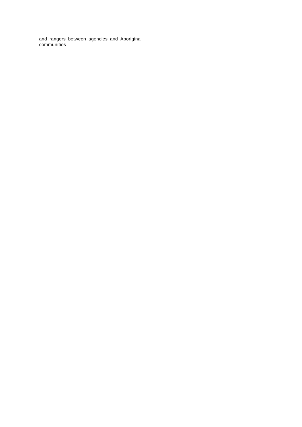and rangers between agencies and Aboriginal communities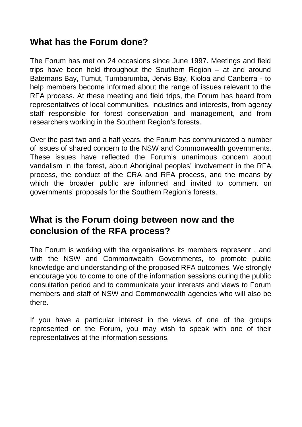### **What has the Forum done?**

The Forum has met on 24 occasions since June 1997. Meetings and field trips have been held throughout the Southern Region – at and around Batemans Bay, Tumut, Tumbarumba, Jervis Bay, Kioloa and Canberra - to help members become informed about the range of issues relevant to the RFA process. At these meeting and field trips, the Forum has heard from representatives of local communities, industries and interests, from agency staff responsible for forest conservation and management, and from researchers working in the Southern Region's forests.

Over the past two and a half years, the Forum has communicated a number of issues of shared concern to the NSW and Commonwealth governments. These issues have reflected the Forum's unanimous concern about vandalism in the forest, about Aboriginal peoples' involvement in the RFA process, the conduct of the CRA and RFA process, and the means by which the broader public are informed and invited to comment on governments' proposals for the Southern Region's forests.

### **What is the Forum doing between now and the conclusion of the RFA process?**

The Forum is working with the organisations its members represent , and with the NSW and Commonwealth Governments, to promote public knowledge and understanding of the proposed RFA outcomes. We strongly encourage you to come to one of the information sessions during the public consultation period and to communicate your interests and views to Forum members and staff of NSW and Commonwealth agencies who will also be there.

If you have a particular interest in the views of one of the groups represented on the Forum, you may wish to speak with one of their representatives at the information sessions.